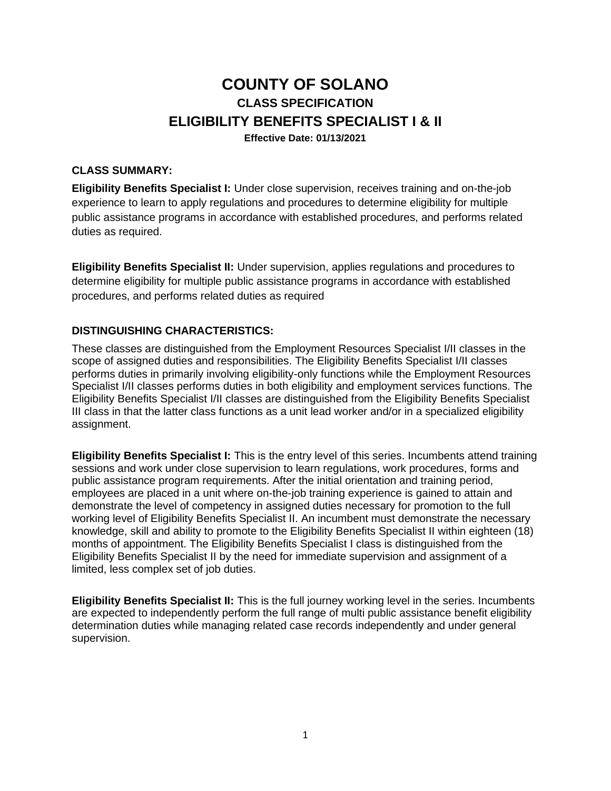# **COUNTY OF SOLANO CLASS SPECIFICATION ELIGIBILITY BENEFITS SPECIALIST I & II Effective Date: 01/13/2021**

## **CLASS SUMMARY:**

**Eligibility Benefits Specialist I:** Under close supervision, receives training and on-the-job experience to learn to apply regulations and procedures to determine eligibility for multiple public assistance programs in accordance with established procedures, and performs related duties as required.

**Eligibility Benefits Specialist II:** Under supervision, applies regulations and procedures to determine eligibility for multiple public assistance programs in accordance with established procedures, and performs related duties as required

#### **DISTINGUISHING CHARACTERISTICS:**

These classes are distinguished from the Employment Resources Specialist I/II classes in the scope of assigned duties and responsibilities. The Eligibility Benefits Specialist I/II classes performs duties in primarily involving eligibility-only functions while the Employment Resources Specialist I/II classes performs duties in both eligibility and employment services functions. The Eligibility Benefits Specialist I/II classes are distinguished from the Eligibility Benefits Specialist III class in that the latter class functions as a unit lead worker and/or in a specialized eligibility assignment.

**Eligibility Benefits Specialist I:** This is the entry level of this series. Incumbents attend training sessions and work under close supervision to learn regulations, work procedures, forms and public assistance program requirements. After the initial orientation and training period, employees are placed in a unit where on-the-job training experience is gained to attain and demonstrate the level of competency in assigned duties necessary for promotion to the full working level of Eligibility Benefits Specialist II. An incumbent must demonstrate the necessary knowledge, skill and ability to promote to the Eligibility Benefits Specialist II within eighteen (18) months of appointment. The Eligibility Benefits Specialist I class is distinguished from the Eligibility Benefits Specialist II by the need for immediate supervision and assignment of a limited, less complex set of job duties.

**Eligibility Benefits Specialist II:** This is the full journey working level in the series. Incumbents are expected to independently perform the full range of multi public assistance benefit eligibility determination duties while managing related case records independently and under general supervision.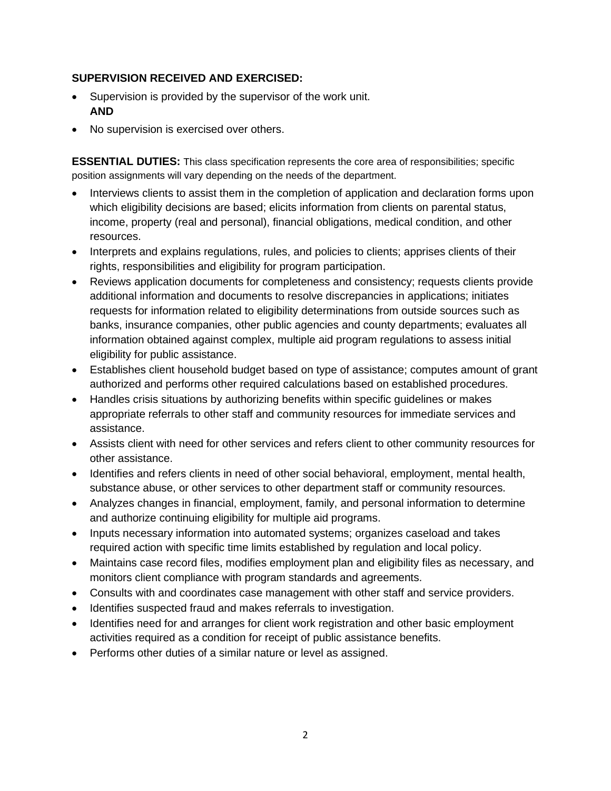### **SUPERVISION RECEIVED AND EXERCISED:**

- Supervision is provided by the supervisor of the work unit. **AND**
- No supervision is exercised over others.

**ESSENTIAL DUTIES:** This class specification represents the core area of responsibilities; specific position assignments will vary depending on the needs of the department.

- Interviews clients to assist them in the completion of application and declaration forms upon which eligibility decisions are based; elicits information from clients on parental status, income, property (real and personal), financial obligations, medical condition, and other resources.
- Interprets and explains regulations, rules, and policies to clients; apprises clients of their rights, responsibilities and eligibility for program participation.
- Reviews application documents for completeness and consistency; requests clients provide additional information and documents to resolve discrepancies in applications; initiates requests for information related to eligibility determinations from outside sources such as banks, insurance companies, other public agencies and county departments; evaluates all information obtained against complex, multiple aid program regulations to assess initial eligibility for public assistance.
- Establishes client household budget based on type of assistance; computes amount of grant authorized and performs other required calculations based on established procedures.
- Handles crisis situations by authorizing benefits within specific guidelines or makes appropriate referrals to other staff and community resources for immediate services and assistance.
- Assists client with need for other services and refers client to other community resources for other assistance.
- Identifies and refers clients in need of other social behavioral, employment, mental health, substance abuse, or other services to other department staff or community resources.
- Analyzes changes in financial, employment, family, and personal information to determine and authorize continuing eligibility for multiple aid programs.
- Inputs necessary information into automated systems; organizes caseload and takes required action with specific time limits established by regulation and local policy.
- Maintains case record files, modifies employment plan and eligibility files as necessary, and monitors client compliance with program standards and agreements.
- Consults with and coordinates case management with other staff and service providers.
- Identifies suspected fraud and makes referrals to investigation.
- Identifies need for and arranges for client work registration and other basic employment activities required as a condition for receipt of public assistance benefits.
- Performs other duties of a similar nature or level as assigned.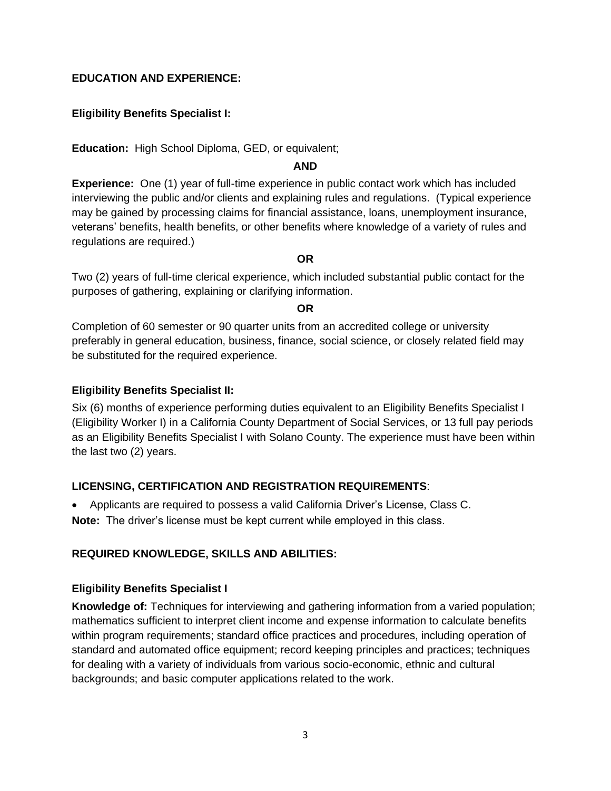## **EDUCATION AND EXPERIENCE:**

## **Eligibility Benefits Specialist I:**

**Education:** High School Diploma, GED, or equivalent;

#### **AND**

**Experience:** One (1) year of full-time experience in public contact work which has included interviewing the public and/or clients and explaining rules and regulations. (Typical experience may be gained by processing claims for financial assistance, loans, unemployment insurance, veterans' benefits, health benefits, or other benefits where knowledge of a variety of rules and regulations are required.)

#### **OR**

Two (2) years of full-time clerical experience, which included substantial public contact for the purposes of gathering, explaining or clarifying information.

#### **OR**

Completion of 60 semester or 90 quarter units from an accredited college or university preferably in general education, business, finance, social science, or closely related field may be substituted for the required experience.

#### **Eligibility Benefits Specialist II:**

Six (6) months of experience performing duties equivalent to an Eligibility Benefits Specialist I (Eligibility Worker I) in a California County Department of Social Services, or 13 full pay periods as an Eligibility Benefits Specialist I with Solano County. The experience must have been within the last two (2) years.

# **LICENSING, CERTIFICATION AND REGISTRATION REQUIREMENTS**:

• Applicants are required to possess a valid California Driver's License, Class C. **Note:** The driver's license must be kept current while employed in this class.

# **REQUIRED KNOWLEDGE, SKILLS AND ABILITIES:**

#### **Eligibility Benefits Specialist I**

**Knowledge of:** Techniques for interviewing and gathering information from a varied population; mathematics sufficient to interpret client income and expense information to calculate benefits within program requirements; standard office practices and procedures, including operation of standard and automated office equipment; record keeping principles and practices; techniques for dealing with a variety of individuals from various socio-economic, ethnic and cultural backgrounds; and basic computer applications related to the work.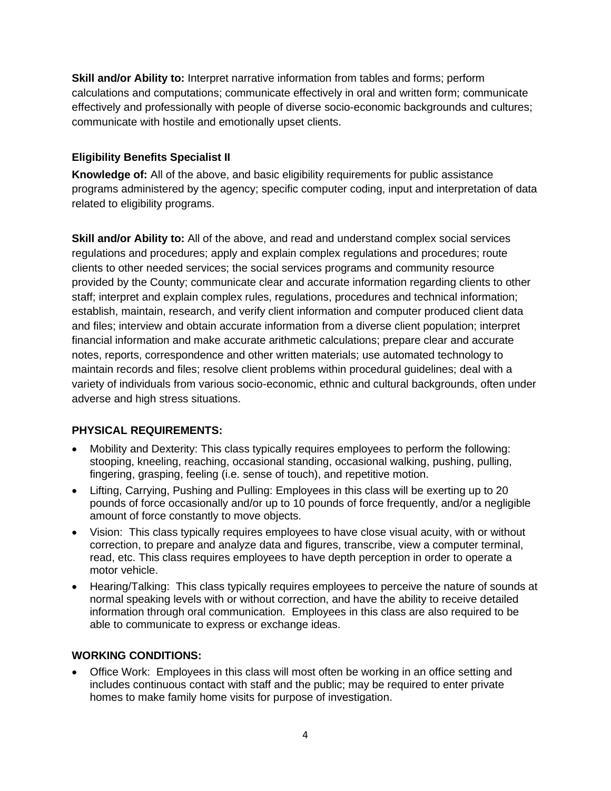**Skill and/or Ability to:** Interpret narrative information from tables and forms; perform calculations and computations; communicate effectively in oral and written form; communicate effectively and professionally with people of diverse socio-economic backgrounds and cultures; communicate with hostile and emotionally upset clients.

# **Eligibility Benefits Specialist II**

**Knowledge of:** All of the above, and basic eligibility requirements for public assistance programs administered by the agency; specific computer coding, input and interpretation of data related to eligibility programs.

**Skill and/or Ability to:** All of the above, and read and understand complex social services regulations and procedures; apply and explain complex regulations and procedures; route clients to other needed services; the social services programs and community resource provided by the County; communicate clear and accurate information regarding clients to other staff; interpret and explain complex rules, regulations, procedures and technical information; establish, maintain, research, and verify client information and computer produced client data and files; interview and obtain accurate information from a diverse client population; interpret financial information and make accurate arithmetic calculations; prepare clear and accurate notes, reports, correspondence and other written materials; use automated technology to maintain records and files; resolve client problems within procedural guidelines; deal with a variety of individuals from various socio-economic, ethnic and cultural backgrounds, often under adverse and high stress situations.

# **PHYSICAL REQUIREMENTS:**

- Mobility and Dexterity: This class typically requires employees to perform the following: stooping, kneeling, reaching, occasional standing, occasional walking, pushing, pulling, fingering, grasping, feeling (i.e. sense of touch), and repetitive motion.
- Lifting, Carrying, Pushing and Pulling: Employees in this class will be exerting up to 20 pounds of force occasionally and/or up to 10 pounds of force frequently, and/or a negligible amount of force constantly to move objects.
- Vision: This class typically requires employees to have close visual acuity, with or without correction, to prepare and analyze data and figures, transcribe, view a computer terminal, read, etc. This class requires employees to have depth perception in order to operate a motor vehicle.
- Hearing/Talking: This class typically requires employees to perceive the nature of sounds at normal speaking levels with or without correction, and have the ability to receive detailed information through oral communication. Employees in this class are also required to be able to communicate to express or exchange ideas.

# **WORKING CONDITIONS:**

• Office Work: Employees in this class will most often be working in an office setting and includes continuous contact with staff and the public; may be required to enter private homes to make family home visits for purpose of investigation.